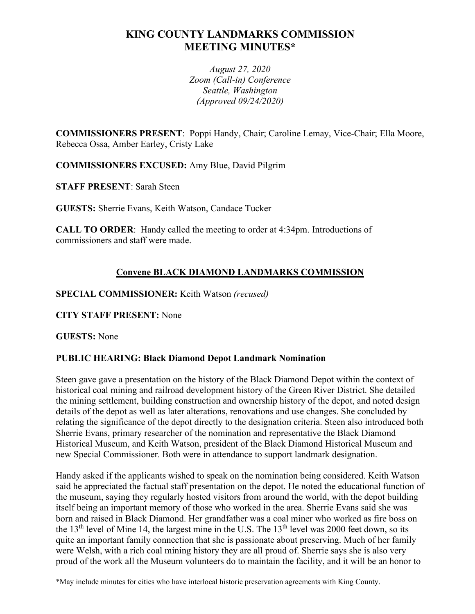# **KING COUNTY LANDMARKS COMMISSION MEETING MINUTES\***

*August 27, 2020 Zoom (Call-in) Conference Seattle, Washington (Approved 09/24/2020)*

**COMMISSIONERS PRESENT**: Poppi Handy, Chair; Caroline Lemay, Vice-Chair; Ella Moore, Rebecca Ossa, Amber Earley, Cristy Lake

**COMMISSIONERS EXCUSED:** Amy Blue, David Pilgrim

**STAFF PRESENT**: Sarah Steen

**GUESTS:** Sherrie Evans, Keith Watson, Candace Tucker

**CALL TO ORDER**: Handy called the meeting to order at 4:34pm. Introductions of commissioners and staff were made.

## **Convene BLACK DIAMOND LANDMARKS COMMISSION**

**SPECIAL COMMISSIONER:** Keith Watson *(recused)*

## **CITY STAFF PRESENT:** None

**GUESTS:** None

## **PUBLIC HEARING: Black Diamond Depot Landmark Nomination**

Steen gave gave a presentation on the history of the Black Diamond Depot within the context of historical coal mining and railroad development history of the Green River District. She detailed the mining settlement, building construction and ownership history of the depot, and noted design details of the depot as well as later alterations, renovations and use changes. She concluded by relating the significance of the depot directly to the designation criteria. Steen also introduced both Sherrie Evans, primary researcher of the nomination and representative the Black Diamond Historical Museum, and Keith Watson, president of the Black Diamond Historical Museum and new Special Commissioner. Both were in attendance to support landmark designation.

Handy asked if the applicants wished to speak on the nomination being considered. Keith Watson said he appreciated the factual staff presentation on the depot. He noted the educational function of the museum, saying they regularly hosted visitors from around the world, with the depot building itself being an important memory of those who worked in the area. Sherrie Evans said she was born and raised in Black Diamond. Her grandfather was a coal miner who worked as fire boss on the 13<sup>th</sup> level of Mine 14, the largest mine in the U.S. The 13<sup>th</sup> level was 2000 feet down, so its quite an important family connection that she is passionate about preserving. Much of her family were Welsh, with a rich coal mining history they are all proud of. Sherrie says she is also very proud of the work all the Museum volunteers do to maintain the facility, and it will be an honor to

\*May include minutes for cities who have interlocal historic preservation agreements with King County.